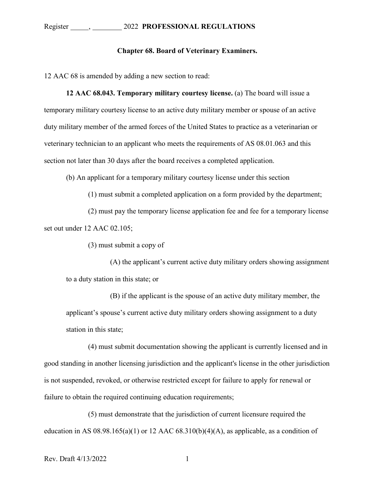## **Chapter 68. Board of Veterinary Examiners.**

12 AAC 68 is amended by adding a new section to read:

**12 AAC 68.043. Temporary military courtesy license.** (a) The board will issue a temporary military courtesy license to an active duty military member or spouse of an active duty military member of the armed forces of the United States to practice as a veterinarian or veterinary technician to an applicant who meets the requirements of AS 08.01.063 and this section not later than 30 days after the board receives a completed application.

(b) An applicant for a temporary military courtesy license under this section

(1) must submit a completed application on a form provided by the department;

(2) must pay the temporary license application fee and fee for a temporary license set out under 12 AAC 02.105;

(3) must submit a copy of

(A) the applicant's current active duty military orders showing assignment to a duty station in this state; or

(B) if the applicant is the spouse of an active duty military member, the applicant's spouse's current active duty military orders showing assignment to a duty station in this state;

(4) must submit documentation showing the applicant is currently licensed and in good standing in another licensing jurisdiction and the applicant's license in the other jurisdiction is not suspended, revoked, or otherwise restricted except for failure to apply for renewal or failure to obtain the required continuing education requirements;

(5) must demonstrate that the jurisdiction of current licensure required the education in AS  $08.98.165(a)(1)$  or 12 AAC  $68.310(b)(4)(A)$ , as applicable, as a condition of